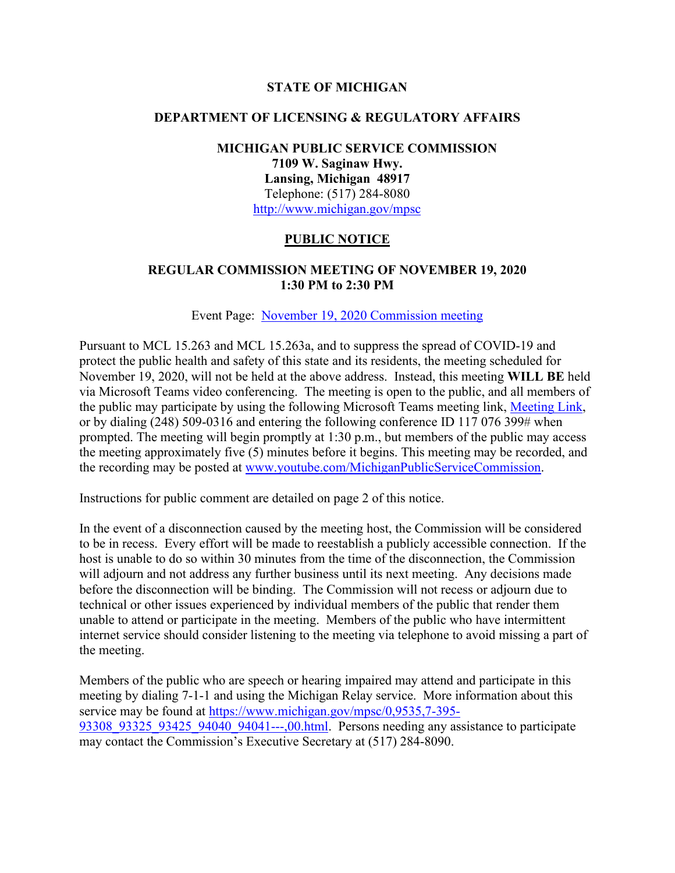### **STATE OF MICHIGAN**

### **DEPARTMENT OF LICENSING & REGULATORY AFFAIRS**

## **MICHIGAN PUBLIC SERVICE COMMISSION 7109 W. Saginaw Hwy. Lansing, Michigan 48917** Telephone: (517) 284-8080 <http://www.michigan.gov/mpsc>

### **PUBLIC NOTICE**

# **REGULAR COMMISSION MEETING OF NOVEMBER 19, 2020 1:30 PM to 2:30 PM**

### Event Page: [November 19, 2020 Commission meeting](https://bit.ly/3f4ynSB)

Pursuant to MCL 15.263 and MCL 15.263a, and to suppress the spread of COVID-19 and protect the public health and safety of this state and its residents, the meeting scheduled for November 19, 2020, will not be held at the above address. Instead, this meeting **WILL BE** held via Microsoft Teams video conferencing. The meeting is open to the public, and all members of the public may participate by using the following Microsoft Teams meeting link, [Meeting Link,](https://bit.ly/3f8Kzlo) or by dialing (248) 509-0316 and entering the following conference ID 117 076 399# when prompted. The meeting will begin promptly at 1:30 p.m., but members of the public may access the meeting approximately five (5) minutes before it begins. This meeting may be recorded, and the recording may be posted at [www.youtube.com/MichiganPublicServiceCommission.](http://www.youtube.com/MichiganPublicServiceCommission)

Instructions for public comment are detailed on page 2 of this notice.

In the event of a disconnection caused by the meeting host, the Commission will be considered to be in recess. Every effort will be made to reestablish a publicly accessible connection. If the host is unable to do so within 30 minutes from the time of the disconnection, the Commission will adjourn and not address any further business until its next meeting. Any decisions made before the disconnection will be binding. The Commission will not recess or adjourn due to technical or other issues experienced by individual members of the public that render them unable to attend or participate in the meeting. Members of the public who have intermittent internet service should consider listening to the meeting via telephone to avoid missing a part of the meeting.

Members of the public who are speech or hearing impaired may attend and participate in this meeting by dialing 7-1-1 and using the Michigan Relay service. More information about this service may be found at [https://www.michigan.gov/mpsc/0,9535,7-395-](https://www.michigan.gov/mpsc/0,9535,7-395-93308_93325_93425_94040_94041---,00.html) 93308 93325 93425 94040 94041---,00.html. Persons needing any assistance to participate may contact the Commission's Executive Secretary at (517) 284-8090.